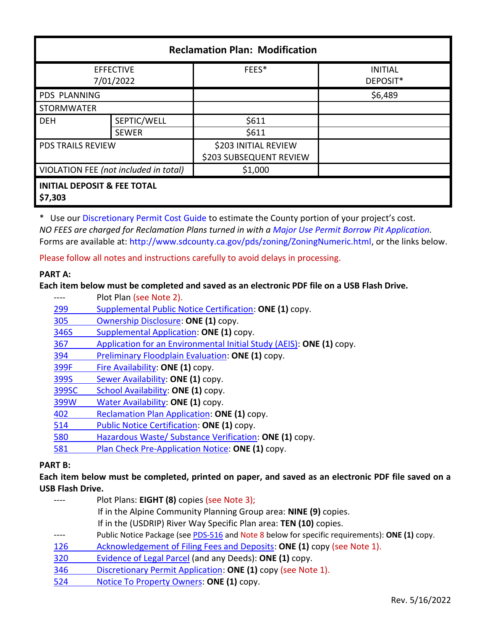| <b>Reclamation Plan: Modification</b>             |              |                                                 |                            |  |
|---------------------------------------------------|--------------|-------------------------------------------------|----------------------------|--|
| <b>EFFECTIVE</b><br>7/01/2022                     |              | FEES*                                           | <b>INITIAL</b><br>DEPOSIT* |  |
| <b>PDS PLANNING</b>                               |              |                                                 | \$6,489                    |  |
| <b>STORMWATER</b>                                 |              |                                                 |                            |  |
| <b>DEH</b>                                        | SEPTIC/WELL  | \$611                                           |                            |  |
|                                                   | <b>SEWER</b> | \$611                                           |                            |  |
| <b>PDS TRAILS REVIEW</b>                          |              | \$203 INITIAL REVIEW<br>\$203 SUBSEQUENT REVIEW |                            |  |
| VIOLATION FEE (not included in total)             |              | \$1,000                                         |                            |  |
| <b>INITIAL DEPOSIT &amp; FEE TOTAL</b><br>\$7,303 |              |                                                 |                            |  |

\* Use ou[r Discretionary Permit Cost Guide](http://www.sandiegocounty.gov/content/dam/sdc/pds/docs/Discretionary_Permit_Cost_Guide.xlsx) to estimate the County portion of your project's cost. *NO FEES are charged for Reclamation Plans turned in with a [Major Use Permit Borrow Pit Application.](http://www.sdcounty.ca.gov/pds/zoning/formfields/PDS-PLN-ESUB_MUP_Borrow_Pit.pdf)* Forms are available at[: http://www.sdcounty.ca.gov/pds/zoning/ZoningNumeric.html,](http://www.sdcounty.ca.gov/pds/zoning/ZoningNumeric.html) or the links below.

Please follow all notes and instructions carefully to avoid delays in processing.

# **PART A:**

# **Each item below must be completed and saved as an electronic PDF file on a USB Flash Drive.**

|            | Plot Plan (see Note 2).                                              |
|------------|----------------------------------------------------------------------|
| 299        | Supplemental Public Notice Certification: ONE (1) copy.              |
| 305        | Ownership Disclosure: ONE (1) copy.                                  |
| 346S       | Supplemental Application: ONE (1) copy.                              |
| <b>367</b> | Application for an Environmental Initial Study (AEIS): ONE (1) copy. |
| 394        | Preliminary Floodplain Evaluation: ONE (1) copy.                     |
| 399F       | Fire Availability: ONE (1) copy.                                     |
| 399S       | Sewer Availability: ONE (1) copy.                                    |
| 399SC      | School Availability: ONE (1) copy.                                   |
| 399W       | Water Availability: ONE (1) copy.                                    |
| 402        | Reclamation Plan Application: ONE (1) copy.                          |
| 514        | Public Notice Certification: ONE (1) copy.                           |
| 580        | Hazardous Waste/ Substance Verification: ONE (1) copy.               |
| 581        | Plan Check Pre-Application Notice: ONE (1) copy.                     |
| RT R∙      |                                                                      |

# **PART B:**

**Each item below must be completed, printed on paper, and saved as an electronic PDF file saved on a USB Flash Drive.**

- ---- Plot Plans: **EIGHT (8)** copies (see Note 3); If in the Alpine Community Planning Group area: **NINE (9)** copies. If in the (USDRIP) River Way Specific Plan area: **TEN (10)** copies. ---- Public Notice Package (se[e PDS-516](https://www.sandiegocounty.gov/pds/zoning/formfields/PDS-PLN-516.pdf) and Note 8 below for specific requirements): **ONE (1)** copy. [126 Acknowledgement of Filing Fees and Deposits:](http://www.sdcounty.ca.gov/pds/zoning/formfields/PDS-PLN-126.pdf) **ONE (1)** copy (see Note 1). [320 Evidence of Legal Parcel](http://www.sdcounty.ca.gov/pds/zoning/formfields/PDS-PLN-320.pdf) (and any Deeds): **ONE (1)** copy. 346 [Discretionary Permit Application:](http://www.sdcounty.ca.gov/pds/zoning/formfields/PDS-PLN-346.pdf) **ONE (1)** copy (see Note 1).
- 524 [Notice To Property Owners:](http://www.sdcounty.ca.gov/pds/zoning/formfields/PDS-PLN-524.pdf) **ONE (1)** copy.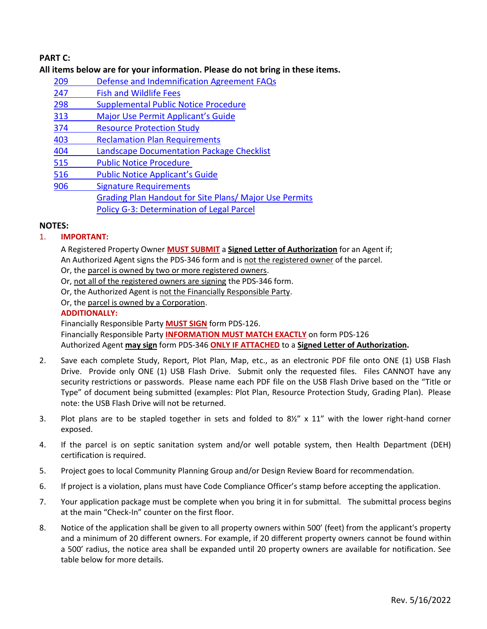# **PART C:**

### **All items below are for your information. Please do not bring in these items.**

- [209 Defense and Indemnification Agreement FAQs](http://www.sdcounty.ca.gov/pds/zoning/formfields/PDS-PLN-209.pdf) [247 Fish and Wildlife Fees](http://www.sdcounty.ca.gov/pds/zoning/formfields/PDS-PLN-247.pdf)  [298 Supplemental Public Notice Procedure](http://www.sdcounty.ca.gov/pds/zoning/formfields/PDS-PLN-298.pdf)  313 [Major Use Permit Applicant's Gui](http://www.sdcounty.ca.gov/pds/zoning/formfields/PDS-PLN-313.pdf)de [374 Resource Protection Study](http://www.sdcounty.ca.gov/pds/zoning/formfields/PDS-PLN-374.pdf)  403 [Reclamation Plan Requirements](http://www.sdcounty.ca.gov/pds/zoning/formfields/PDS-PLN-403.pdf) 404 [Landscape Documentation Package Checklist](http://www.sdcounty.ca.gov/pds/zoning/formfields/PDS-PLN-404.pdf) [515 Public Notice Procedure](http://www.sdcounty.ca.gov/pds/zoning/formfields/PDS-PLN-515.pdf)  516 [Public Notice Applicant's Guide](http://www.sdcounty.ca.gov/pds/zoning/formfields/PDS-PLN-516.pdf)  [906 Signature](http://www.sdcounty.ca.gov/pds/zoning/formfields/PDS-PLN-906.pdf) Requirements [Grading Plan Handout for Site Plans/ Major Use Permits](http://www.sdcounty.ca.gov/pds/zoning/formfields/GradePlanHandoutSitePlanMUP.pdf)
	- [Policy G-3: Determination of Legal Parcel](http://www.sdcounty.ca.gov/pds/zoning/formfields/POLICY-G-3.pdf)

### **NOTES:**

### 1. **IMPORTANT:**

A Registered Property Owner **MUST SUBMIT** a **Signed Letter of Authorization** for an Agent if; An Authorized Agent signs the PDS-346 form and is not the registered owner of the parcel.

Or, the parcel is owned by two or more registered owners.

Or, not all of the registered owners are signing the PDS-346 form.

Or, the Authorized Agent is not the Financially Responsible Party.

Or, the parcel is owned by a Corporation.

#### **ADDITIONALLY:**

Financially Responsible Party **MUST SIGN** form PDS-126.

Financially Responsible Party **INFORMATION MUST MATCH EXACTLY** on form PDS-126 Authorized Agent **may sign** form PDS-346 **ONLY IF ATTACHED** to a **Signed Letter of Authorization.**

- 2. Save each complete Study, Report, Plot Plan, Map, etc., as an electronic PDF file onto ONE (1) USB Flash Drive. Provide only ONE (1) USB Flash Drive. Submit only the requested files. Files CANNOT have any security restrictions or passwords. Please name each PDF file on the USB Flash Drive based on the "Title or Type" of document being submitted (examples: Plot Plan, Resource Protection Study, Grading Plan). Please note: the USB Flash Drive will not be returned.
- 3. Plot plans are to be stapled together in sets and folded to 8½" x 11" with the lower right-hand corner exposed.
- 4. If the parcel is on septic sanitation system and/or well potable system, then Health Department (DEH) certification is required.
- 5. Project goes to local Community Planning Group and/or Design Review Board for recommendation.
- 6. If project is a violation, plans must have Code Compliance Officer's stamp before accepting the application.
- 7. Your application package must be complete when you bring it in for submittal. The submittal process begins at the main "Check-In" counter on the first floor.
- 8. Notice of the application shall be given to all property owners within 500' (feet) from the applicant's property and a minimum of 20 different owners. For example, if 20 different property owners cannot be found within a 500' radius, the notice area shall be expanded until 20 property owners are available for notification. See table below for more details.